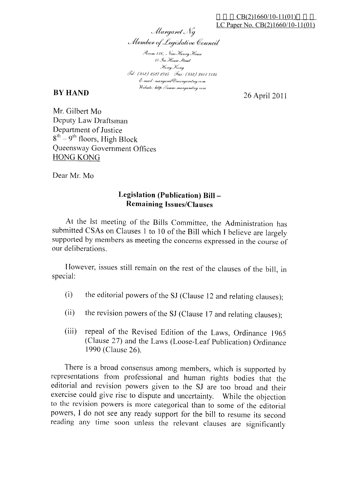Margaret Ng Member of Legislative Council

Room 116, New Henry House 10 Jce House Street Hong Kong Jel. (852) 2537 2725 Fax: (852) 2801 7134 E-mail: margaret @margaretng.com Website: http://www.margaretng.com

## **BY HAND**

26 April 2011

Mr. Gilbert Mo Deputy Law Draftsman Department of Justice  $8^{th}$  – 9<sup>th</sup> floors, High Block Queensway Government Offices **HONG KONG** 

Dear Mr. Mo

## Legislation (Publication) Bill-**Remaining Issues/Clauses**

At the lst meeting of the Bills Committee, the Administration has submitted CSAs on Clauses 1 to 10 of the Bill which I believe are largely supported by members as meeting the concerns expressed in the course of our deliberations

However, issues still remain on the rest of the clauses of the bill, in special:

- the editorial powers of the SJ (Clause 12 and relating clauses);  $(i)$
- the revision powers of the SJ (Clause 17 and relating clauses);  $(ii)$
- repeal of the Revised Edition of the Laws, Ordinance 1965  $(iii)$ (Clause 27) and the Laws (Loose-Leaf Publication) Ordinance 1990 (Clause 26).

There is a broad consensus among members, which is supported by representations from professional and human rights bodies that the editorial and revision powers given to the SJ are too broad and their exercise could give rise to dispute and uncertainty. While the objection to the revision powers is more categorical than to some of the editorial powers, I do not see any ready support for the bill to resume its second reading any time soon unless the relevant clauses are significantly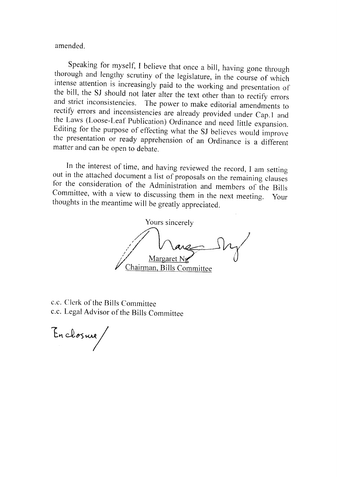amended.

Speaking for myself, I believe that once a bill, having gone through<br>thorough and lengthy scrutiny of the legislature, in the course of which<br>intense attention is increasingly paid to the working and presentation of<br>the bi

In the interest of time, and having reviewed the record, I am setting<br>out in the attached document a list of proposals on the remaining clauses<br>for the consideration of the Administration and members of the Bills<br>Committee thoughts in the meantime will be greatly appreciated.

Yours sincerely Margaret Chairman, Bills Committee

c.c. Clerk of the Bills Committee c.c. Legal Advisor of the Bills Committee

En closure, /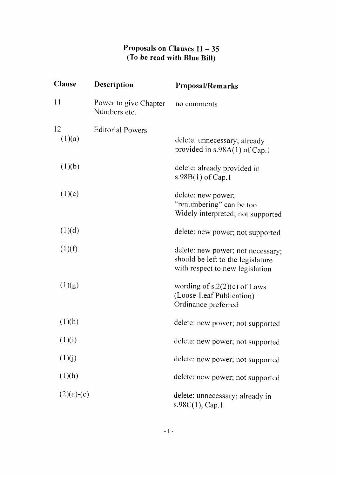## Proposals on Clauses 11 - 35 (To be read with Blue Bill)

| Clause       | <b>Description</b>                    | <b>Proposal/Remarks</b>                                                                                   |
|--------------|---------------------------------------|-----------------------------------------------------------------------------------------------------------|
| 11           | Power to give Chapter<br>Numbers etc. | no comments                                                                                               |
| 12           | <b>Editorial Powers</b>               |                                                                                                           |
| (1)(a)       |                                       | delete: unnecessary; already<br>provided in $s.98A(1)$ of Cap.1                                           |
| (1)(b)       |                                       | delete: already provided in<br>s.98B(1) of Cap.1                                                          |
| (1)(c)       |                                       | delete: new power;<br>"renumbering" can be too<br>Widely interpreted; not supported                       |
| (1)(d)       |                                       | delete: new power; not supported                                                                          |
| (1)(f)       |                                       | delete: new power; not necessary;<br>should be left to the legislature<br>with respect to new legislation |
| (1)(g)       |                                       | wording of $s.2(2)(c)$ of Laws<br>(Loose-Leaf Publication)<br>Ordinance preferred                         |
| (1)(h)       |                                       | delete: new power; not supported                                                                          |
| (1)(i)       |                                       | delete: new power; not supported                                                                          |
| (1)(j)       |                                       | delete: new power; not supported                                                                          |
| (1)(h)       |                                       | delete: new power; not supported                                                                          |
| $(2)(a)-(c)$ |                                       | delete: unnecessary; already in<br>s.98C(1), Cap.1                                                        |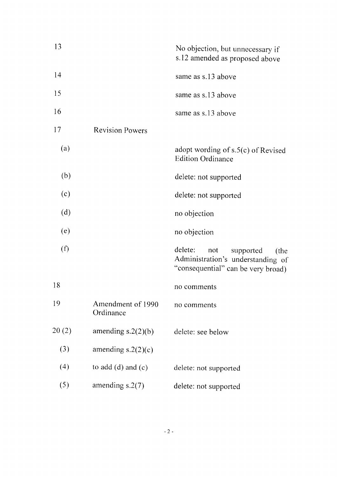| 13    |                                | No objection, but unnecessary if<br>s.12 amended as proposed above                                             |
|-------|--------------------------------|----------------------------------------------------------------------------------------------------------------|
| 14    |                                | same as s.13 above                                                                                             |
| 15    |                                | same as s.13 above                                                                                             |
| 16    |                                | same as s.13 above                                                                                             |
| 17    | <b>Revision Powers</b>         |                                                                                                                |
| (a)   |                                | adopt wording of s.5(c) of Revised<br><b>Edition Ordinance</b>                                                 |
| (b)   |                                | delete: not supported                                                                                          |
| (c)   |                                | delete: not supported                                                                                          |
| (d)   |                                | no objection                                                                                                   |
| (e)   |                                | no objection                                                                                                   |
| (f)   |                                | delete:<br>not<br>supported<br>(the<br>Administration's understanding of<br>"consequential" can be very broad) |
| 18    |                                | no comments                                                                                                    |
| 19    | Amendment of 1990<br>Ordinance | no comments                                                                                                    |
| 20(2) | amending $s.2(2)(b)$           | delete: see below                                                                                              |
| (3)   | amending $s.2(2)(c)$           |                                                                                                                |
| (4)   | to add $(d)$ and $(c)$         | delete: not supported                                                                                          |
| (5)   | amending $s.2(7)$              | delete: not supported                                                                                          |
|       |                                |                                                                                                                |